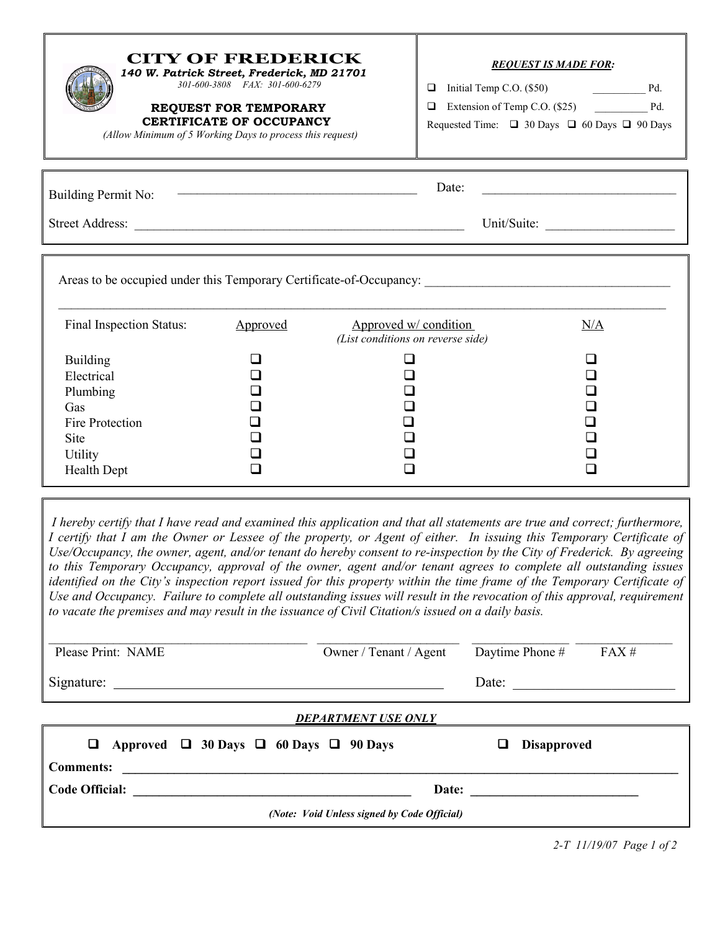| (Allow Minimum of 5 Working Days to process this request)                                                                                            | <b>CITY OF FREDERICK</b><br>140 W. Patrick Street, Frederick, MD 21701<br>301-600-3808 FAX: 301-600-6279<br><b>REQUEST FOR TEMPORARY</b><br><b>CERTIFICATE OF OCCUPANCY</b> | $\Box$<br>$\Box$                                           | <b>REOUEST IS MADE FOR:</b><br>Initial Temp C.O. (\$50) Pd.<br>Extension of Temp C.O. (\$25) Pd.<br>Requested Time: $\Box$ 30 Days $\Box$ 60 Days $\Box$ 90 Days |  |  |
|------------------------------------------------------------------------------------------------------------------------------------------------------|-----------------------------------------------------------------------------------------------------------------------------------------------------------------------------|------------------------------------------------------------|------------------------------------------------------------------------------------------------------------------------------------------------------------------|--|--|
| Date:<br><u> 1989 - Johann John Stein, markin fan it fjort fan de ferstjer fan it fjort fan de ferstjer fan de ferstjer f</u><br>Building Permit No: |                                                                                                                                                                             |                                                            |                                                                                                                                                                  |  |  |
| Unit/Suite:                                                                                                                                          |                                                                                                                                                                             |                                                            |                                                                                                                                                                  |  |  |
| Final Inspection Status:                                                                                                                             | Approved                                                                                                                                                                    | Approved w/ condition<br>(List conditions on reverse side) | N/A                                                                                                                                                              |  |  |
| <b>Building</b><br>Electrical<br>Plumbing<br>Gas<br>Fire Protection<br>Site<br>Utility<br><b>Health Dept</b>                                         |                                                                                                                                                                             |                                                            |                                                                                                                                                                  |  |  |

 I hereby certify that I have read and examined this application and that all statements are true and correct; furthermore, I certify that I am the Owner or Lessee of the property, or Agent of either. In issuing this Temporary Certificate of Use/Occupancy, the owner, agent, and/or tenant do hereby consent to re-inspection by the City of Frederick. By agreeing to this Temporary Occupancy, approval of the owner, agent and/or tenant agrees to complete all outstanding issues identified on the City's inspection report issued for this property within the time frame of the Temporary Certificate of Use and Occupancy. Failure to complete all outstanding issues will result in the revocation of this approval, requirement to vacate the premises and may result in the issuance of Civil Citation/s issued on a daily basis.

| Please Print: NAME                                           | Owner / Tenant / Agent | FAX#<br>Daytime Phone # |  |  |  |
|--------------------------------------------------------------|------------------------|-------------------------|--|--|--|
|                                                              |                        | Date: $\qquad \qquad$   |  |  |  |
| <b>DEPARTMENT USE ONLY</b>                                   |                        |                         |  |  |  |
| $\Box$ Approved $\Box$ 30 Days $\Box$ 60 Days $\Box$ 90 Days |                        | <b>Disapproved</b><br>□ |  |  |  |
| <b>Comments:</b>                                             |                        |                         |  |  |  |
| Code Official:                                               |                        |                         |  |  |  |
| (Note: Void Unless signed by Code Official)                  |                        |                         |  |  |  |

2-T 11/19/07 Page 1 of 2